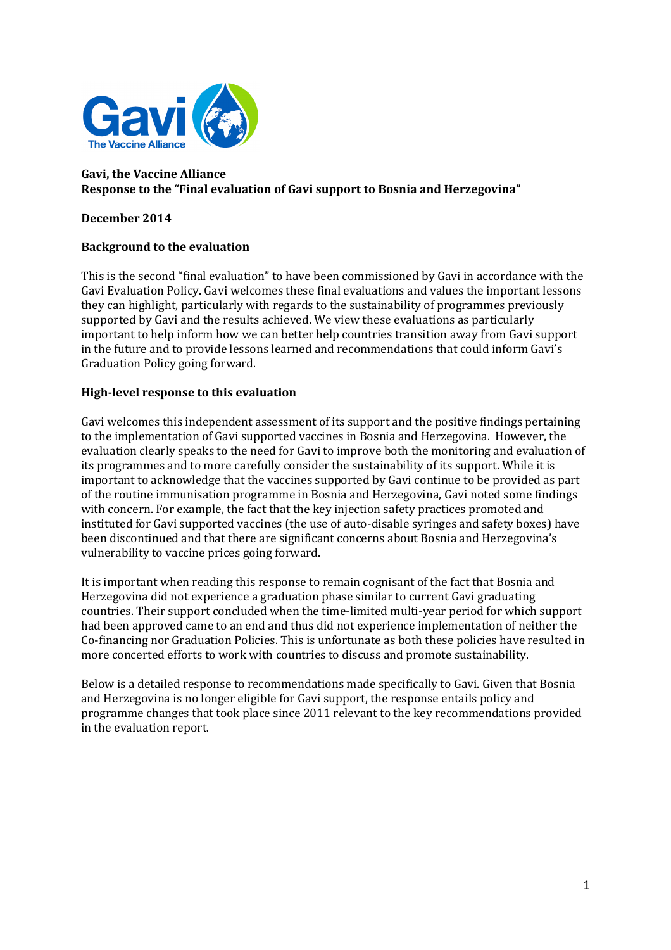

## **Gavi, the Vaccine Alliance Response to the "Final evaluation of Gavi support to Bosnia and Herzegovina"**

## **December 2014**

## **Background to the evaluation**

This is the second "final evaluation" to have been commissioned by Gavi in accordance with the Gavi Evaluation Policy. Gavi welcomes these final evaluations and values the important lessons they can highlight, particularly with regards to the sustainability of programmes previously supported by Gavi and the results achieved. We view these evaluations as particularly important to help inform how we can better help countries transition away from Gavi support in the future and to provide lessons learned and recommendations that could inform Gavi's Graduation Policy going forward.

## **High-level response to this evaluation**

Gavi welcomes this independent assessment of its support and the positive findings pertaining to the implementation of Gavi supported vaccines in Bosnia and Herzegovina. However, the evaluation clearly speaks to the need for Gavi to improve both the monitoring and evaluation of its programmes and to more carefully consider the sustainability of its support. While it is important to acknowledge that the vaccines supported by Gavi continue to be provided as part of the routine immunisation programme in Bosnia and Herzegovina, Gavi noted some findings with concern. For example, the fact that the key injection safety practices promoted and instituted for Gavi supported vaccines (the use of auto-disable syringes and safety boxes) have been discontinued and that there are significant concerns about Bosnia and Herzegovina's vulnerability to vaccine prices going forward.

It is important when reading this response to remain cognisant of the fact that Bosnia and Herzegovina did not experience a graduation phase similar to current Gavi graduating countries. Their support concluded when the time-limited multi-year period for which support had been approved came to an end and thus did not experience implementation of neither the Co-financing nor Graduation Policies. This is unfortunate as both these policies have resulted in more concerted efforts to work with countries to discuss and promote sustainability.

Below is a detailed response to recommendations made specifically to Gavi. Given that Bosnia and Herzegovina is no longer eligible for Gavi support, the response entails policy and programme changes that took place since 2011 relevant to the key recommendations provided in the evaluation report.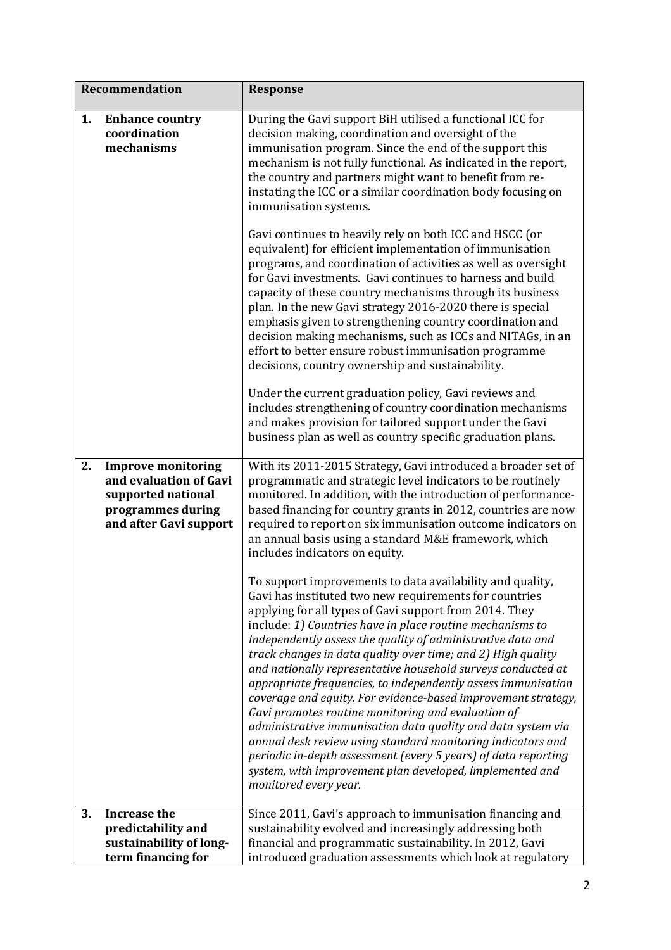| Recommendation |                                                                                                                          | <b>Response</b>                                                                                                                                                                                                                                                                                                                                                                                                                                                                                                                                                                                                                                                                                                                                                                                                                                                                                                                                                                                                                                                                                                                                                                                                                                                                                                                                      |
|----------------|--------------------------------------------------------------------------------------------------------------------------|------------------------------------------------------------------------------------------------------------------------------------------------------------------------------------------------------------------------------------------------------------------------------------------------------------------------------------------------------------------------------------------------------------------------------------------------------------------------------------------------------------------------------------------------------------------------------------------------------------------------------------------------------------------------------------------------------------------------------------------------------------------------------------------------------------------------------------------------------------------------------------------------------------------------------------------------------------------------------------------------------------------------------------------------------------------------------------------------------------------------------------------------------------------------------------------------------------------------------------------------------------------------------------------------------------------------------------------------------|
| 1.             | <b>Enhance country</b><br>coordination<br>mechanisms                                                                     | During the Gavi support BiH utilised a functional ICC for<br>decision making, coordination and oversight of the<br>immunisation program. Since the end of the support this<br>mechanism is not fully functional. As indicated in the report,<br>the country and partners might want to benefit from re-<br>instating the ICC or a similar coordination body focusing on<br>immunisation systems.<br>Gavi continues to heavily rely on both ICC and HSCC (or<br>equivalent) for efficient implementation of immunisation<br>programs, and coordination of activities as well as oversight<br>for Gavi investments. Gavi continues to harness and build<br>capacity of these country mechanisms through its business<br>plan. In the new Gavi strategy 2016-2020 there is special<br>emphasis given to strengthening country coordination and<br>decision making mechanisms, such as ICCs and NITAGs, in an<br>effort to better ensure robust immunisation programme<br>decisions, country ownership and sustainability.<br>Under the current graduation policy, Gavi reviews and<br>includes strengthening of country coordination mechanisms<br>and makes provision for tailored support under the Gavi<br>business plan as well as country specific graduation plans.                                                                               |
| 2.             | <b>Improve monitoring</b><br>and evaluation of Gavi<br>supported national<br>programmes during<br>and after Gavi support | With its 2011-2015 Strategy, Gavi introduced a broader set of<br>programmatic and strategic level indicators to be routinely<br>monitored. In addition, with the introduction of performance-<br>based financing for country grants in 2012, countries are now<br>required to report on six immunisation outcome indicators on<br>an annual basis using a standard M&E framework, which<br>includes indicators on equity.<br>To support improvements to data availability and quality,<br>Gavi has instituted two new requirements for countries<br>applying for all types of Gavi support from 2014. They<br>include: 1) Countries have in place routine mechanisms to<br>independently assess the quality of administrative data and<br>track changes in data quality over time; and 2) High quality<br>and nationally representative household surveys conducted at<br>appropriate frequencies, to independently assess immunisation<br>coverage and equity. For evidence-based improvement strategy,<br>Gavi promotes routine monitoring and evaluation of<br>administrative immunisation data quality and data system via<br>annual desk review using standard monitoring indicators and<br>periodic in-depth assessment (every 5 years) of data reporting<br>system, with improvement plan developed, implemented and<br>monitored every year. |
| 3.             | <b>Increase the</b><br>predictability and<br>sustainability of long-<br>term financing for                               | Since 2011, Gavi's approach to immunisation financing and<br>sustainability evolved and increasingly addressing both<br>financial and programmatic sustainability. In 2012, Gavi<br>introduced graduation assessments which look at regulatory                                                                                                                                                                                                                                                                                                                                                                                                                                                                                                                                                                                                                                                                                                                                                                                                                                                                                                                                                                                                                                                                                                       |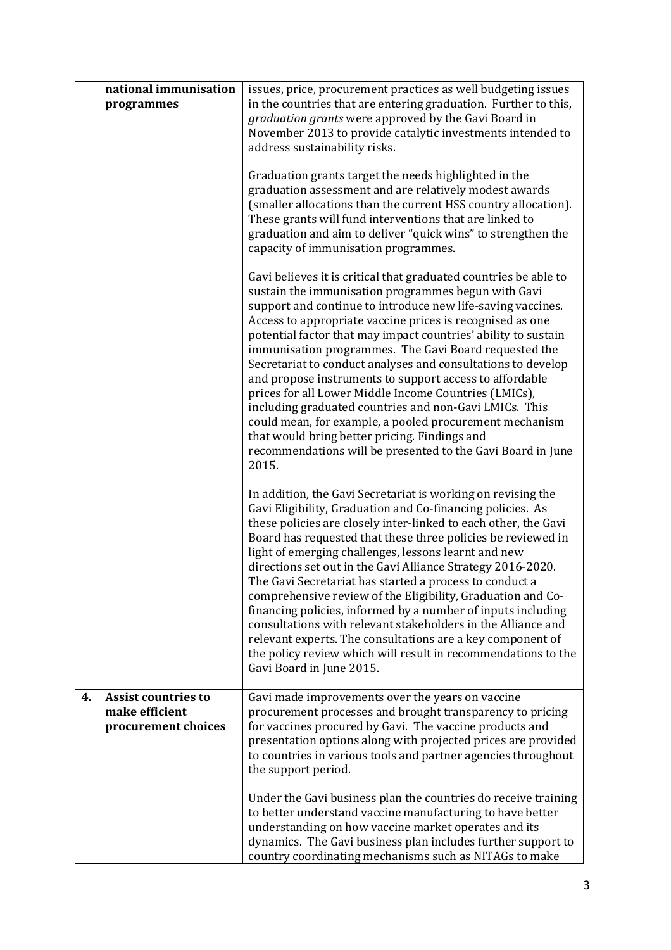|    | national immunisation                                               | issues, price, procurement practices as well budgeting issues                                                                                                                                                                                                                                                                                                                                                                                                                                                                                                                                                                                                                                                                                                                                                    |
|----|---------------------------------------------------------------------|------------------------------------------------------------------------------------------------------------------------------------------------------------------------------------------------------------------------------------------------------------------------------------------------------------------------------------------------------------------------------------------------------------------------------------------------------------------------------------------------------------------------------------------------------------------------------------------------------------------------------------------------------------------------------------------------------------------------------------------------------------------------------------------------------------------|
|    | programmes                                                          | in the countries that are entering graduation. Further to this,<br>graduation grants were approved by the Gavi Board in<br>November 2013 to provide catalytic investments intended to<br>address sustainability risks.                                                                                                                                                                                                                                                                                                                                                                                                                                                                                                                                                                                           |
|    |                                                                     | Graduation grants target the needs highlighted in the<br>graduation assessment and are relatively modest awards<br>(smaller allocations than the current HSS country allocation).<br>These grants will fund interventions that are linked to<br>graduation and aim to deliver "quick wins" to strengthen the<br>capacity of immunisation programmes.                                                                                                                                                                                                                                                                                                                                                                                                                                                             |
|    |                                                                     | Gavi believes it is critical that graduated countries be able to<br>sustain the immunisation programmes begun with Gavi<br>support and continue to introduce new life-saving vaccines.<br>Access to appropriate vaccine prices is recognised as one<br>potential factor that may impact countries' ability to sustain<br>immunisation programmes. The Gavi Board requested the<br>Secretariat to conduct analyses and consultations to develop<br>and propose instruments to support access to affordable<br>prices for all Lower Middle Income Countries (LMICs),<br>including graduated countries and non-Gavi LMICs. This<br>could mean, for example, a pooled procurement mechanism<br>that would bring better pricing. Findings and<br>recommendations will be presented to the Gavi Board in June<br>2015. |
|    |                                                                     | In addition, the Gavi Secretariat is working on revising the<br>Gavi Eligibility, Graduation and Co-financing policies. As<br>these policies are closely inter-linked to each other, the Gavi<br>Board has requested that these three policies be reviewed in<br>light of emerging challenges, lessons learnt and new<br>directions set out in the Gavi Alliance Strategy 2016-2020.<br>The Gavi Secretariat has started a process to conduct a<br>comprehensive review of the Eligibility, Graduation and Co-<br>financing policies, informed by a number of inputs including<br>consultations with relevant stakeholders in the Alliance and<br>relevant experts. The consultations are a key component of<br>the policy review which will result in recommendations to the<br>Gavi Board in June 2015.        |
| 4. | <b>Assist countries to</b><br>make efficient<br>procurement choices | Gavi made improvements over the years on vaccine<br>procurement processes and brought transparency to pricing<br>for vaccines procured by Gavi. The vaccine products and<br>presentation options along with projected prices are provided<br>to countries in various tools and partner agencies throughout<br>the support period.                                                                                                                                                                                                                                                                                                                                                                                                                                                                                |
|    |                                                                     | Under the Gavi business plan the countries do receive training<br>to better understand vaccine manufacturing to have better<br>understanding on how vaccine market operates and its<br>dynamics. The Gavi business plan includes further support to<br>country coordinating mechanisms such as NITAGs to make                                                                                                                                                                                                                                                                                                                                                                                                                                                                                                    |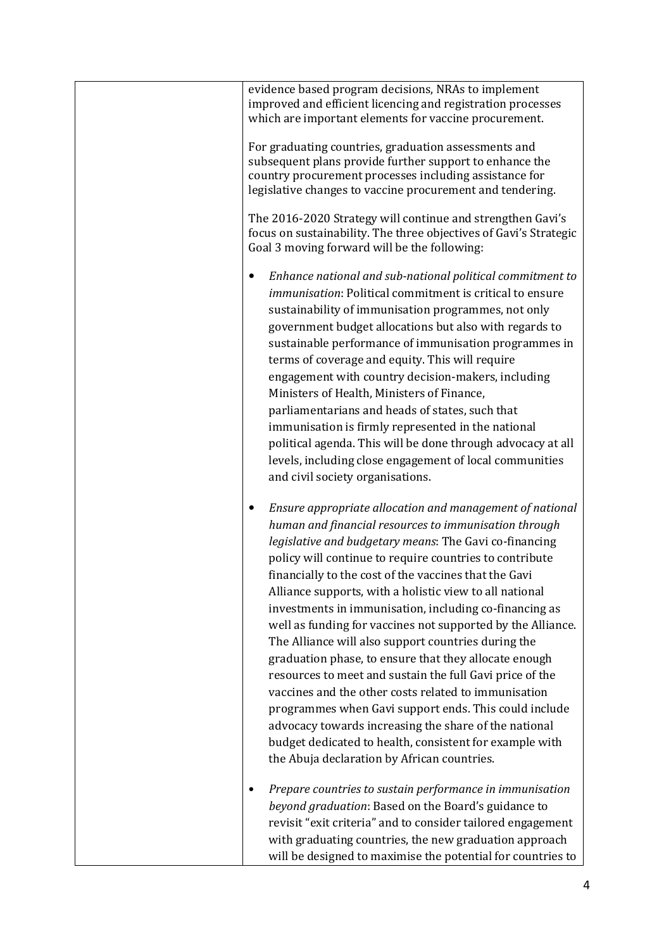| evidence based program decisions, NRAs to implement<br>improved and efficient licencing and registration processes<br>which are important elements for vaccine procurement.                                                                                                                                                                                                                                                                                                                                                                                                                                                                                                                                                                                                                                                                                                                                                                         |
|-----------------------------------------------------------------------------------------------------------------------------------------------------------------------------------------------------------------------------------------------------------------------------------------------------------------------------------------------------------------------------------------------------------------------------------------------------------------------------------------------------------------------------------------------------------------------------------------------------------------------------------------------------------------------------------------------------------------------------------------------------------------------------------------------------------------------------------------------------------------------------------------------------------------------------------------------------|
| For graduating countries, graduation assessments and<br>subsequent plans provide further support to enhance the<br>country procurement processes including assistance for<br>legislative changes to vaccine procurement and tendering.                                                                                                                                                                                                                                                                                                                                                                                                                                                                                                                                                                                                                                                                                                              |
| The 2016-2020 Strategy will continue and strengthen Gavi's<br>focus on sustainability. The three objectives of Gavi's Strategic<br>Goal 3 moving forward will be the following:                                                                                                                                                                                                                                                                                                                                                                                                                                                                                                                                                                                                                                                                                                                                                                     |
| Enhance national and sub-national political commitment to<br><i>immunisation</i> : Political commitment is critical to ensure<br>sustainability of immunisation programmes, not only<br>government budget allocations but also with regards to<br>sustainable performance of immunisation programmes in<br>terms of coverage and equity. This will require<br>engagement with country decision-makers, including<br>Ministers of Health, Ministers of Finance,<br>parliamentarians and heads of states, such that<br>immunisation is firmly represented in the national<br>political agenda. This will be done through advocacy at all<br>levels, including close engagement of local communities<br>and civil society organisations.                                                                                                                                                                                                               |
| Ensure appropriate allocation and management of national<br>human and financial resources to immunisation through<br>legislative and budgetary means: The Gavi co-financing<br>policy will continue to require countries to contribute<br>financially to the cost of the vaccines that the Gavi<br>Alliance supports, with a holistic view to all national<br>investments in immunisation, including co-financing as<br>well as funding for vaccines not supported by the Alliance.<br>The Alliance will also support countries during the<br>graduation phase, to ensure that they allocate enough<br>resources to meet and sustain the full Gavi price of the<br>vaccines and the other costs related to immunisation<br>programmes when Gavi support ends. This could include<br>advocacy towards increasing the share of the national<br>budget dedicated to health, consistent for example with<br>the Abuja declaration by African countries. |
| Prepare countries to sustain performance in immunisation<br>beyond graduation: Based on the Board's guidance to<br>revisit "exit criteria" and to consider tailored engagement<br>with graduating countries, the new graduation approach<br>will be designed to maximise the potential for countries to                                                                                                                                                                                                                                                                                                                                                                                                                                                                                                                                                                                                                                             |